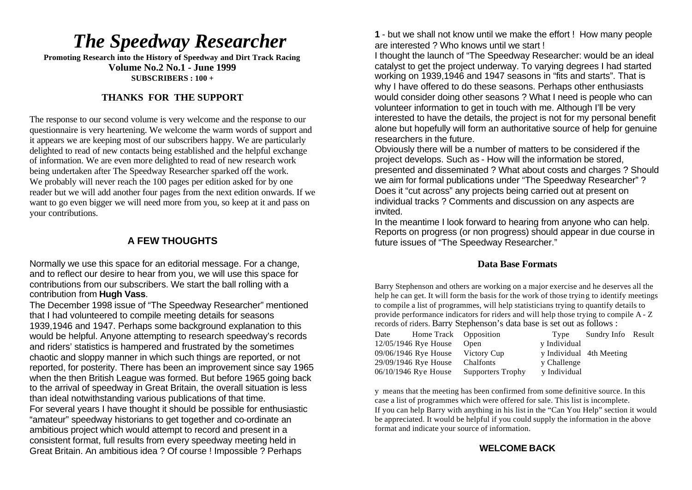# *The Speedway Researcher*

**Promoting Research into the History of Speedway and Dirt Track Racing Volume No.2 No.1 - June 1999 SUBSCRIBERS : 100 +**

# **THANKS FOR THE SUPPORT**

The response to our second volume is very welcome and the response to our questionnaire is very heartening. We welcome the warm words of support and it appears we are keeping most of our subscribers happy. We are particularly delighted to read of new contacts being established and the helpful exchange of information. We are even more delighted to read of new research work being undertaken after The Speedway Researcher sparked off the work. We probably will never reach the 100 pages per edition asked for by one reader but we will add another four pages from the next edition onwards. If we want to go even bigger we will need more from you, so keep at it and pass on your contributions.

# **A FEW THOUGHTS**

Normally we use this space for an editorial message. For a change, and to reflect our desire to hear from you, we will use this space for contributions from our subscribers. We start the ball rolling with a contribution from **Hugh Vass**.

The December 1998 issue of "The Speedway Researcher" mentioned that I had volunteered to compile meeting details for seasons 1939,1946 and 1947. Perhaps some background explanation to this would be helpful. Anyone attempting to research speedway's records and riders' statistics is hampered and frustrated by the sometimes chaotic and sloppy manner in which such things are reported, or not reported, for posterity. There has been an improvement since say 1965 when the then British League was formed. But before 1965 going back to the arrival of speedway in Great Britain, the overall situation is less than ideal notwithstanding various publications of that time. For several years I have thought it should be possible for enthusiastic "amateur" speedway historians to get together and co-ordinate an ambitious project which would attempt to record and present in a consistent format, full results from every speedway meeting held in Great Britain. An ambitious idea ? Of course ! Impossible ? Perhaps

**1** - but we shall not know until we make the effort ! How many people are interested ? Who knows until we start !

I thought the launch of "The Speedway Researcher: would be an ideal catalyst to get the project underway. To varying degrees I had started working on 1939,1946 and 1947 seasons in "fits and starts". That is why I have offered to do these seasons. Perhaps other enthusiasts would consider doing other seasons ? What I need is people who can volunteer information to get in touch with me. Although I'll be very interested to have the details, the project is not for my personal benefit alone but hopefully will form an authoritative source of help for genuine researchers in the future.

Obviously there will be a number of matters to be considered if the project develops. Such as - How will the information be stored, presented and disseminated ? What about costs and charges ? Should we aim for formal publications under "The Speedway Researcher" ? Does it "cut across" any projects being carried out at present on individual tracks ? Comments and discussion on any aspects are invited.

In the meantime I look forward to hearing from anyone who can help. Reports on progress (or non progress) should appear in due course in future issues of "The Speedway Researcher."

### **Data Base Formats**

Barry Stephenson and others are working on a major exercise and he deserves all the help he can get. It will form the basis for the work of those trying to identify meetings to compile a list of programmes, will help statisticians trying to quantify details to provide performance indicators for riders and will help those trying to compile A - Z records of riders. Barry Stephenson's data base is set out as follows :

| Date | Home Track Opposition |                          | Type         | Sundry Info Result       |  |
|------|-----------------------|--------------------------|--------------|--------------------------|--|
|      | 12/05/1946 Rye House  | Open                     | y Individual |                          |  |
|      | 09/06/1946 Rye House  | Victory Cup              |              | y Individual 4th Meeting |  |
|      | 29/09/1946 Rye House  | Chalfonts                | y Challenge  |                          |  |
|      | 06/10/1946 Rye House  | <b>Supporters Trophy</b> | y Individual |                          |  |

y means that the meeting has been confirmed from some definitive source. In this case a list of programmes which were offered for sale. This list is incomplete. If you can help Barry with anything in his list in the "Can You Help" section it would be appreciated. It would be helpful if you could supply the information in the above format and indicate your source of information.

# **WELCOME BACK**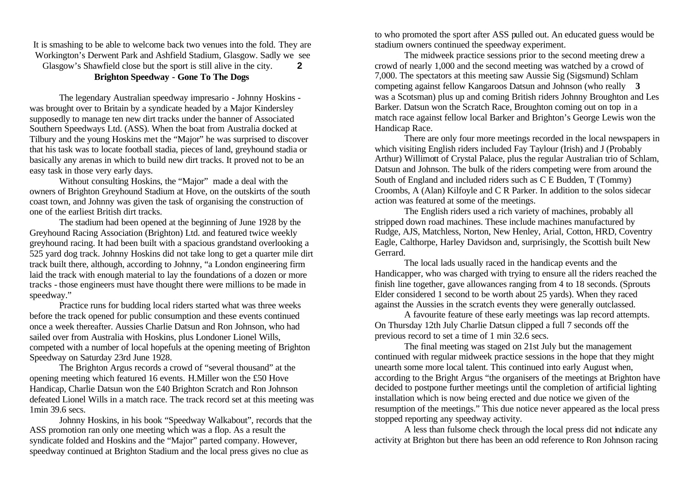It is smashing to be able to welcome back two venues into the fold. They are Workington's Derwent Park and Ashfield Stadium, Glasgow. Sadly we see Glasgow's Shawfield close but the sport is still alive in the city. **2 Brighton Speedway - Gone To The Dogs**

The legendary Australian speedway impresario - Johnny Hoskins was brought over to Britain by a syndicate headed by a Major Kindersley supposedly to manage ten new dirt tracks under the banner of Associated Southern Speedways Ltd. (ASS). When the boat from Australia docked at Tilbury and the young Hoskins met the "Major" he was surprised to discover that his task was to locate football stadia, pieces of land, greyhound stadia or basically any arenas in which to build new dirt tracks. It proved not to be an easy task in those very early days.

Without consulting Hoskins, the "Major" made a deal with the owners of Brighton Greyhound Stadium at Hove, on the outskirts of the south coast town, and Johnny was given the task of organising the construction of one of the earliest British dirt tracks.

The stadium had been opened at the beginning of June 1928 by the Greyhound Racing Association (Brighton) Ltd. and featured twice weekly greyhound racing. It had been built with a spacious grandstand overlooking a 525 yard dog track. Johnny Hoskins did not take long to get a quarter mile dirt track built there, although, according to Johnny, "a London engineering firm laid the track with enough material to lay the foundations of a dozen or more tracks - those engineers must have thought there were millions to be made in speedway."

Practice runs for budding local riders started what was three weeks before the track opened for public consumption and these events continued once a week thereafter. Aussies Charlie Datsun and Ron Johnson, who had sailed over from Australia with Hoskins, plus Londoner Lionel Wills, competed with a number of local hopefuls at the opening meeting of Brighton Speedway on Saturday 23rd June 1928.

The Brighton Argus records a crowd of "several thousand" at the opening meeting which featured 16 events. H.Miller won the £50 Hove Handicap, Charlie Datsun won the £40 Brighton Scratch and Ron Johnson defeated Lionel Wills in a match race. The track record set at this meeting was 1min 39.6 secs.

Johnny Hoskins, in his book "Speedway Walkabout", records that the ASS promotion ran only one meeting which was a flop. As a result the syndicate folded and Hoskins and the "Major" parted company. However, speedway continued at Brighton Stadium and the local press gives no clue as

to who promoted the sport after ASS pulled out. An educated guess would be stadium owners continued the speedway experiment.

The midweek practice sessions prior to the second meeting drew a crowd of nearly 1,000 and the second meeting was watched by a crowd of 7,000. The spectators at this meeting saw Aussie Sig (Sigsmund) Schlam competing against fellow Kangaroos Datsun and Johnson (who really **3** was a Scotsman) plus up and coming British riders Johnny Broughton and Les Barker. Datsun won the Scratch Race, Broughton coming out on top in a match race against fellow local Barker and Brighton's George Lewis won the Handicap Race.

There are only four more meetings recorded in the local newspapers in which visiting English riders included Fay Taylour (Irish) and J (Probably Arthur) Willimott of Crystal Palace, plus the regular Australian trio of Schlam, Datsun and Johnson. The bulk of the riders competing were from around the South of England and included riders such as C E Budden, T (Tommy) Croombs, A (Alan) Kilfoyle and C R Parker. In addition to the solos sidecar action was featured at some of the meetings.

The English riders used a rich variety of machines, probably all stripped down road machines. These include machines manufactured by Rudge, AJS, Matchless, Norton, New Henley, Arial, Cotton, HRD, Coventry Eagle, Calthorpe, Harley Davidson and, surprisingly, the Scottish built New **Gerrard** 

The local lads usually raced in the handicap events and the Handicapper, who was charged with trying to ensure all the riders reached the finish line together, gave allowances ranging from 4 to 18 seconds. (Sprouts Elder considered 1 second to be worth about 25 yards). When they raced against the Aussies in the scratch events they were generally outclassed.

A favourite feature of these early meetings was lap record attempts. On Thursday 12th July Charlie Datsun clipped a full 7 seconds off the previous record to set a time of 1 min 32.6 secs.

The final meeting was staged on 21st July but the management continued with regular midweek practice sessions in the hope that they might unearth some more local talent. This continued into early August when, according to the Bright Argus "the organisers of the meetings at Brighton have decided to postpone further meetings until the completion of artificial lighting installation which is now being erected and due notice we given of the resumption of the meetings." This due notice never appeared as the local press stopped reporting any speedway activity.

A less than fulsome check through the local press did not indicate any activity at Brighton but there has been an odd reference to Ron Johnson racing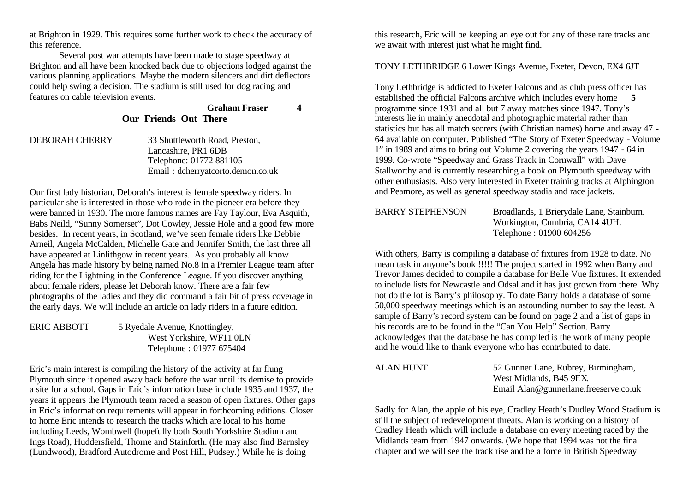at Brighton in 1929. This requires some further work to check the accuracy of this reference.

Several post war attempts have been made to stage speedway at Brighton and all have been knocked back due to objections lodged against the various planning applications. Maybe the modern silencers and dirt deflectors could help swing a decision. The stadium is still used for dog racing and features on cable television events.

# **Graham Fraser 4 Our Friends Out There**

DEBORAH CHERRY 33 Shuttleworth Road, Preston, Lancashire, PR1 6DB Telephone: 01772 881105 Email : dcherryatcorto.demon.co.uk

Our first lady historian, Deborah's interest is female speedway riders. In particular she is interested in those who rode in the pioneer era before they were banned in 1930. The more famous names are Fay Taylour, Eva Asquith, Babs Neild, "Sunny Somerset", Dot Cowley, Jessie Hole and a good few more besides. In recent years, in Scotland, we've seen female riders like Debbie Arneil, Angela McCalden, Michelle Gate and Jennifer Smith, the last three all have appeared at Linlithgow in recent years. As you probably all know Angela has made history by being named No.8 in a Premier League team after riding for the Lightning in the Conference League. If you discover anything about female riders, please let Deborah know. There are a fair few photographs of the ladies and they did command a fair bit of press coverage in the early days. We will include an article on lady riders in a future edition.

ERIC ABBOTT 5 Ryedale Avenue, Knottingley, West Yorkshire, WF11 0LN Telephone : 01977 675404

Eric's main interest is compiling the history of the activity at far flung Plymouth since it opened away back before the war until its demise to provide a site for a school. Gaps in Eric's information base include 1935 and 1937, the years it appears the Plymouth team raced a season of open fixtures. Other gaps in Eric's information requirements will appear in forthcoming editions. Closer to home Eric intends to research the tracks which are local to his home including Leeds, Wombwell (hopefully both South Yorkshire Stadium and Ings Road), Huddersfield, Thorne and Stainforth. (He may also find Barnsley (Lundwood), Bradford Autodrome and Post Hill, Pudsey.) While he is doing

this research, Eric will be keeping an eye out for any of these rare tracks and we await with interest just what he might find.

#### TONY LETHBRIDGE 6 Lower Kings Avenue, Exeter, Devon, EX4 6JT

Tony Lethbridge is addicted to Exeter Falcons and as club press officer has established the official Falcons archive which includes every home **5** programme since 1931 and all but 7 away matches since 1947. Tony's interests lie in mainly anecdotal and photographic material rather than statistics but has all match scorers (with Christian names) home and away 47 - 64 available on computer. Published "The Story of Exeter Speedway - Volume 1" in 1989 and aims to bring out Volume 2 covering the years 1947 - 64 in 1999. Co-wrote "Speedway and Grass Track in Cornwall" with Dave Stallworthy and is currently researching a book on Plymouth speedway with other enthusiasts. Also very interested in Exeter training tracks at Alphington and Peamore, as well as general speedway stadia and race jackets.

BARRY STEPHENSON Broadlands, 1 Brierydale Lane, Stainburn. Workington, Cumbria, CA14 4UH. Telephone : 01900 604256

With others, Barry is compiling a database of fixtures from 1928 to date. No mean task in anyone's book !!!!! The project started in 1992 when Barry and Trevor James decided to compile a database for Belle Vue fixtures. It extended to include lists for Newcastle and Odsal and it has just grown from there. Why not do the lot is Barry's philosophy. To date Barry holds a database of some 50,000 speedway meetings which is an astounding number to say the least. A sample of Barry's record system can be found on page 2 and a list of gaps in his records are to be found in the "Can You Help" Section. Barry acknowledges that the database he has compiled is the work of many people and he would like to thank everyone who has contributed to date.

ALAN HUNT 52 Gunner Lane, Rubrey, Birmingham, West Midlands, B45 9EX. Email Alan@gunnerlane.freeserve.co.uk

Sadly for Alan, the apple of his eye, Cradley Heath's Dudley Wood Stadium is still the subject of redevelopment threats. Alan is working on a history of Cradley Heath which will include a database on every meeting raced by the Midlands team from 1947 onwards. (We hope that 1994 was not the final chapter and we will see the track rise and be a force in British Speedway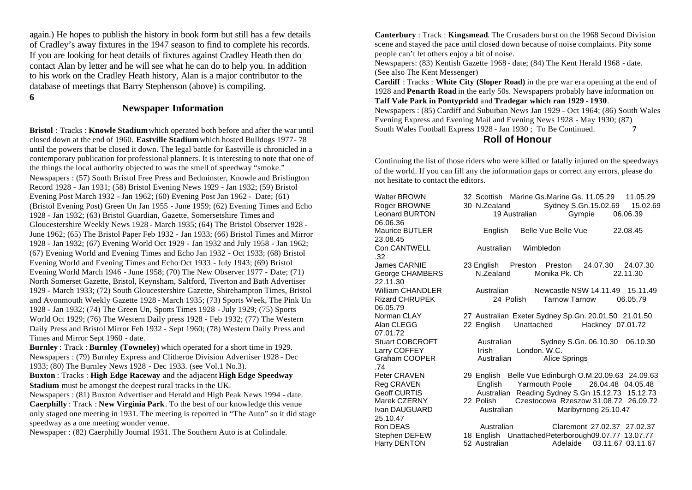again.) He hopes to publish the history in book form but still has a few details of Cradley's away fixtures in the 1947 season to find to complete his records. If you are looking for heat details of fixtures against Cradley Heath then do contact Alan by letter and he will see what he can do to help you. In addition to his work on the Cradley Heath history, Alan is a major contributor to the database of meetings that Barry Stephenson (above) is compiling.

**6**

# **Newspaper Information**

**Bristol** : Tracks : **Knowle Stadium** which operated both before and after the war until closed down at the end of 1960. **Eastville Stadium** which hosted Bulldogs 1977- 78 until the powers that be closed it down. The legal battle for Eastville is chronicled in a contemporary publication for professional planners. It is interesting to note that one of the things the local authority objected to was the smell of speedway "smoke." Newspapers : (57) South Bristol Free Press and Bedminster, Knowle and Brislington Record 1928 - Jan 1931; (58) Bristol Evening News 1929 - Jan 1932; (59) Bristol Evening Post March 1932 - Jan 1962; (60) Evening Post Jan 1962 - Date; (61) (Bristol Evening Post) Green Un Jan 1955 - June 1959; (62) Evening Times and Echo 1928 - Jan 1932; (63) Bristol Guardian, Gazette, Somersetshire Times and Gloucestershire Weekly News 1928 - March 1935; (64) The Bristol Observer 1928 - June 1962; (65) The Bristol Paper Feb 1932 - Jan 1933; (66) Bristol Times and Mirror 1928 - Jan 1932; (67) Evening World Oct 1929 - Jan 1932 and July 1958 - Jan 1962; (67) Evening World and Evening Times and Echo Jan 1932 - Oct 1933; (68) Bristol Evening World and Evening Times and Echo Oct 1933 - July 1943; (69) Bristol Evening World March 1946 - June 1958; (70) The New Observer 1977 - Date; (71) North Somerset Gazette, Bristol, Keynsham, Saltford, Tiverton and Bath Advertiser 1929 - March 1933; (72) South Gloucestershire Gazette, Shirehampton Times, Bristol and Avonmouth Weekly Gazette 1928 - March 1935; (73) Sports Week, The Pink Un 1928 - Jan 1932; (74) The Green Un, Sports Times 1928 - July 1929; (75) Sports World Oct 1929; (76) The Western Daily press 1928 - Feb 1932; (77) The Western Daily Press and Bristol Mirror Feb 1932 - Sept 1960; (78) Western Daily Press and Times and Mirror Sept 1960 - date.

**Burnley** : Track : **Burnley (Towneley)** which operated for a short time in 1929. Newspapers : (79) Burnley Express and Clitheroe Division Advertiser 1928 - Dec 1933; (80) The Burnley News 1928 - Dec 1933. (see Vol.1 No.3).

**Buxton** : Tracks : **High Edge Raceway** and the adjacent **High Edge Speedway Stadium** must be amongst the deepest rural tracks in the UK.

Newspapers : (81) Buxton Advertiser and Herald and High Peak News 1994 - date. **Caerphilly** : Track : **New Virginia Park**. To the best of our knowledge this venue only staged one meeting in 1931. The meeting is reported in "The Auto" so it did stage speedway as a one meeting wonder venue.

Newspaper : (82) Caerphilly Journal 1931. The Southern Auto is at Colindale.

**Canterbury** : Track : **Kingsmead**. The Crusaders burst on the 1968 Second Division scene and stayed the pace until closed down because of noise complaints. Pity some people can't let others enjoy a bit of noise.

Newspapers: (83) Kentish Gazette 1968 - date; (84) The Kent Herald 1968 - date. (See also The Kent Messenger)

**Cardiff** : Tracks : **White City (Sloper Road)** in the pre war era opening at the end of 1928 and **Penarth Road** in the early 50s. Newspapers probably have information on **Taff Vale Park in Pontypridd** and **Tradegar which ran 1929 - 1930**.

Newspapers : (85) Cardiff and Suburban News Jan 1929 - Oct 1964; (86) South Wales Evening Express and Evening Mail and Evening News 1928 - May 1930; (87) South Wales Football Express 1928 - Jan 1930 ; To Be Continued. **7**

#### **Roll of Honour**

Continuing the list of those riders who were killed or fatally injured on the speedways of the world. If you can fill any the information gaps or correct any errors, please do not hesitate to contact the editors.

| <b>Walter BROWN</b><br>Roger BROWNE<br><b>Leonard BURTON</b><br>06.06.36 | 32 Scottish Marine Gs.Marine Gs. 11.05.29<br>30 N.Zealand<br>19 Australian                                          |              | Sydney S.Gn.15.02.69<br>Gympie | 11.05.29<br>15.02.69<br>06.06.39            |
|--------------------------------------------------------------------------|---------------------------------------------------------------------------------------------------------------------|--------------|--------------------------------|---------------------------------------------|
| <b>Maurice BUTLER</b><br>23.08.45                                        | English                                                                                                             |              | Belle Vue Belle Vue            | 22.08.45                                    |
| Con CANTWELL<br>.32                                                      | Australian                                                                                                          | Wimbledon    |                                |                                             |
| James CARNIE<br>George CHAMBERS<br>22.11.30                              | 23 English Preston Preston 24.07.30 24.07.30<br>N.Zealand                                                           |              | Monika Pk. Ch                  | 22.11.30                                    |
| <b>William CHANDLER</b><br><b>Rizard CHRUPEK</b><br>06.05.79             | Australian<br>24 Polish                                                                                             |              | <b>Tarnow Tarnow</b>           | Newcastle NSW 14.11.49 15.11.49<br>06.05.79 |
| Norman CLAY<br>Alan CLEGG<br>07.01.72                                    | 27 Australian Exeter Sydney Sp. Gn. 20.01.50 21.01.50<br>22 English                                                 | Unattached   |                                | Hackney 07.01.72                            |
| <b>Stuart COBCROFT</b><br>Larry COFFEY<br>Graham COOPER<br>.74           | Australian<br><b>Irish</b><br>Australian                                                                            | London, W.C. | Alice Springs                  | Sydney S.Gn. 06.10.30 06.10.30              |
| Peter CRAVEN<br>Reg CRAVEN<br><b>Geoff CURTIS</b>                        | 29 English Belle Vue Edinburgh O.M.20.09.63 24.09.63<br>English<br>Australian Reading Sydney S.Gn 15.12.73 15.12.73 |              | Yarmouth Poole                 | 26.04.48 04.05.48                           |
| Marek CZERNY<br>Ivan DAUGUARD<br>25.10.47                                | 22 Polish<br>Australian                                                                                             |              | Maribyrnong 25.10.47           | Czestocowa Rzeszow 31.08.72 26.09.72        |
| Ron DEAS                                                                 | Australian                                                                                                          |              |                                | Claremont 27.02.37 27.02.37                 |
| Stephen DEFEW<br>Harry DENTON                                            | 18 English UnattachedPeterborough09.07.77 13.07.77<br>52 Australian                                                 |              |                                | Adelaide 03.11.67 03.11.67                  |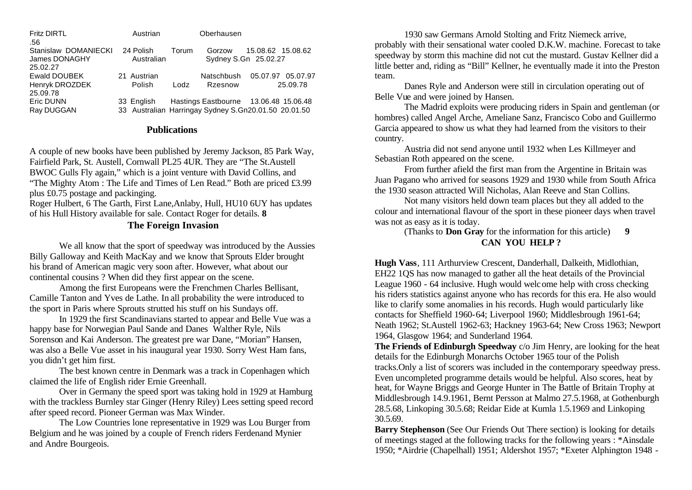| <b>Fritz DIRTL</b>   | Austrian      |       | Oberhausen                                           |                   |          |
|----------------------|---------------|-------|------------------------------------------------------|-------------------|----------|
| .56                  |               |       |                                                      |                   |          |
| Stanislaw DOMANIECKI | 24 Polish     | Torum | Gorzow                                               | 15.08.62 15.08.62 |          |
| James DONAGHY        | Australian    |       | Sydney S.Gn 25.02.27                                 |                   |          |
| 25.02.27             |               |       |                                                      |                   |          |
| Ewald DOUBEK         | 21 Austrian   |       | Natschbush                                           | 05.07.97 05.07.97 |          |
| Henryk DROZDEK       | <b>Polish</b> | Lodz  | Rzesnow                                              |                   | 25.09.78 |
| 25.09.78             |               |       |                                                      |                   |          |
| Eric DUNN            | 33 English    |       | Hastings Eastbourne 13.06.48 15.06.48                |                   |          |
| Ray DUGGAN           |               |       | 33 Australian Harringay Sydney S.Gn20.01.50 20.01.50 |                   |          |

#### **Publications**

A couple of new books have been published by Jeremy Jackson, 85 Park Way, Fairfield Park, St. Austell, Cornwall PL25 4UR. They are "The St.Austell BWOC Gulls Fly again," which is a joint venture with David Collins, and "The Mighty Atom : The Life and Times of Len Read." Both are priced £3.99 plus £0.75 postage and packinging.

Roger Hulbert, 6 The Garth, First Lane,Anlaby, Hull, HU10 6UY has updates of his Hull History available for sale. Contact Roger for details. **8**

#### **The Foreign Invasion**

We all know that the sport of speedway was introduced by the Aussies Billy Galloway and Keith MacKay and we know that Sprouts Elder brought his brand of American magic very soon after. However, what about our continental cousins ? When did they first appear on the scene.

Among the first Europeans were the Frenchmen Charles Bellisant, Camille Tanton and Yves de Lathe. In all probability the were introduced to the sport in Paris where Sprouts strutted his stuff on his Sundays off.

In 1929 the first Scandinavians started to appear and Belle Vue was a happy base for Norwegian Paul Sande and Danes Walther Ryle, Nils Sorenson and Kai Anderson. The greatest pre war Dane, "Morian" Hansen, was also a Belle Vue asset in his inaugural year 1930. Sorry West Ham fans, you didn't get him first.

The best known centre in Denmark was a track in Copenhagen which claimed the life of English rider Ernie Greenhall.

Over in Germany the speed sport was taking hold in 1929 at Hamburg with the trackless Burnley star Ginger (Henry Riley) Lees setting speed record after speed record. Pioneer German was Max Winder.

The Low Countries lone representative in 1929 was Lou Burger from Belgium and he was joined by a couple of French riders Ferdenand Mynier and Andre Bourgeois.

1930 saw Germans Arnold Stolting and Fritz Niemeck arrive, probably with their sensational water cooled D.K.W. machine. Forecast to take speedway by storm this machine did not cut the mustard. Gustav Kellner did a little better and, riding as "Bill" Kellner, he eventually made it into the Preston team.

Danes Ryle and Anderson were still in circulation operating out of Belle Vue and were joined by Hansen.

The Madrid exploits were producing riders in Spain and gentleman (or hombres) called Angel Arche, Ameliane Sanz, Francisco Cobo and Guillermo Garcia appeared to show us what they had learned from the visitors to their country.

Austria did not send anyone until 1932 when Les Killmeyer and Sebastian Roth appeared on the scene.

From further afield the first man from the Argentine in Britain was Juan Pagano who arrived for seasons 1929 and 1930 while from South Africa the 1930 season attracted Will Nicholas, Alan Reeve and Stan Collins.

Not many visitors held down team places but they all added to the colour and international flavour of the sport in these pioneer days when travel was not as easy as it is today.

(Thanks to **Don Gray** for the information for this article) **9**

# **CAN YOU HELP ?**

**Hugh Vass**, 111 Arthurview Crescent, Danderhall, Dalkeith, Midlothian, EH22 1QS has now managed to gather all the heat details of the Provincial League 1960 - 64 inclusive. Hugh would welcome help with cross checking his riders statistics against anyone who has records for this era. He also would like to clarify some anomalies in his records. Hugh would particularly like contacts for Sheffield 1960-64; Liverpool 1960; Middlesbrough 1961-64; Neath 1962; St.Austell 1962-63; Hackney 1963-64; New Cross 1963; Newport 1964, Glasgow 1964; and Sunderland 1964.

**The Friends of Edinburgh Speedway** c/o Jim Henry, are looking for the heat details for the Edinburgh Monarchs October 1965 tour of the Polish tracks.Only a list of scorers was included in the contemporary speedway press. Even uncompleted programme details would be helpful. Also scores, heat by heat, for Wayne Briggs and George Hunter in The Battle of Britain Trophy at Middlesbrough 14.9.1961, Bernt Persson at Malmo 27.5.1968, at Gothenburgh 28.5.68, Linkoping 30.5.68; Reidar Eide at Kumla 1.5.1969 and Linkoping 30.5.69.

**Barry Stephenson** (See Our Friends Out There section) is looking for details of meetings staged at the following tracks for the following years : \*Ainsdale 1950; \*Airdrie (Chapelhall) 1951; Aldershot 1957; \*Exeter Alphington 1948 -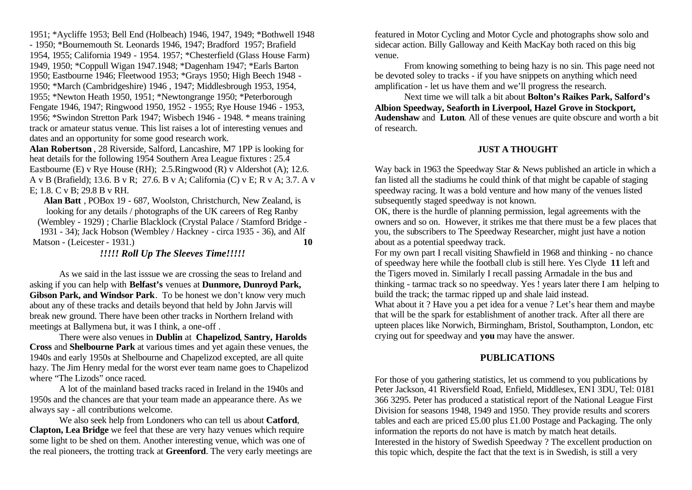1951; \*Aycliffe 1953; Bell End (Holbeach) 1946, 1947, 1949; \*Bothwell 1948 - 1950; \*Bournemouth St. Leonards 1946, 1947; Bradford 1957; Brafield 1954, 1955; California 1949 - 1954. 1957; \*Chesterfield (Glass House Farm) 1949, 1950; \*Coppull Wigan 1947.1948; \*Dagenham 1947; \*Earls Barton 1950; Eastbourne 1946; Fleetwood 1953; \*Grays 1950; High Beech 1948 - 1950; \*March (Cambridgeshire) 1946 , 1947; Middlesbrough 1953, 1954, 1955; \*Newton Heath 1950, 1951; \*Newtongrange 1950; \*Peterborough Fengate 1946, 1947; Ringwood 1950, 1952 - 1955; Rye House 1946 - 1953, 1956; \*Swindon Stretton Park 1947; Wisbech 1946 - 1948. \* means training track or amateur status venue. This list raises a lot of interesting venues and dates and an opportunity for some good research work.

**Alan Robertson** , 28 Riverside, Salford, Lancashire, M7 1PP is looking for heat details for the following 1954 Southern Area League fixtures : 25.4 Eastbourne (E) v Rye House (RH); 2.5.Ringwood (R) v Aldershot (A); 12.6. A v B (Brafield); 13.6. B v R; 27.6. B v A; California (C) v E; R v A; 3.7. A v E; 1.8. C v B; 29.8 B v RH.

**Alan Batt** , POBox 19 - 687, Woolston, Christchurch, New Zealand, is looking for any details / photographs of the UK careers of Reg Ranby (Wembley - 1929) ; Charlie Blacklock (Crystal Palace / Stamford Bridge - 1931 - 34); Jack Hobson (Wembley / Hackney - circa 1935 - 36), and Alf

Matson - (Leicester - 1931.) **10** 

*!!!!! Roll Up The Sleeves Time!!!!!*

As we said in the last isssue we are crossing the seas to Ireland and asking if you can help with **Belfast's** venues at **Dunmore, Dunroyd Park, Gibson Park, and Windsor Park**. To be honest we don't know very much about any of these tracks and details beyond that held by John Jarvis will break new ground. There have been other tracks in Northern Ireland with meetings at Ballymena but, it was I think, a one-off .

There were also venues in **Dublin** at **Chapelizod**, **Santry, Harolds Cross** and **Shelbourne Park** at various times and yet again these venues, the 1940s and early 1950s at Shelbourne and Chapelizod excepted, are all quite hazy. The Jim Henry medal for the worst ever team name goes to Chapelizod where "The Lizods" once raced.

A lot of the mainland based tracks raced in Ireland in the 1940s and 1950s and the chances are that your team made an appearance there. As we always say - all contributions welcome.

We also seek help from Londoners who can tell us about **Catford**, **Clapton, Lea Bridge** we feel that these are very hazy venues which require some light to be shed on them. Another interesting venue, which was one of the real pioneers, the trotting track at **Greenford**. The very early meetings are featured in Motor Cycling and Motor Cycle and photographs show solo and sidecar action. Billy Galloway and Keith MacKay both raced on this big venue.

From knowing something to being hazy is no sin. This page need not be devoted soley to tracks - if you have snippets on anything which need amplification - let us have them and we'll progress the research.

Next time we will talk a bit about **Bolton's Raikes Park, Salford's Albion Speedway, Seaforth in Liverpool, Hazel Grove in Stockport, Audenshaw** and **Luton**. All of these venues are quite obscure and worth a bit of research.

# **JUST A THOUGHT**

Way back in 1963 the Speedway Star & News published an article in which a fan listed all the stadiums he could think of that might be capable of staging speedway racing. It was a bold venture and how many of the venues listed subsequently staged speedway is not known.

OK, there is the hurdle of planning permission, legal agreements with the owners and so on. However, it strikes me that there must be a few places that you, the subscribers to The Speedway Researcher, might just have a notion about as a potential speedway track.

For my own part I recall visiting Shawfield in 1968 and thinking - no chance of speedway here while the football club is still here. Yes Clyde **11** left and the Tigers moved in. Similarly I recall passing Armadale in the bus and thinking - tarmac track so no speedway. Yes ! years later there I am helping to build the track; the tarmac ripped up and shale laid instead. What about it ? Have you a pet idea for a venue ? Let's hear them and maybe

that will be the spark for establishment of another track. After all there are upteen places like Norwich, Birmingham, Bristol, Southampton, London, etc crying out for speedway and **you** may have the answer.

# **PUBLICATIONS**

For those of you gathering statistics, let us commend to you publications by Peter Jackson, 41 Riversfield Road, Enfield, Middlesex, EN1 3DU, Tel: 0181 366 3295. Peter has produced a statistical report of the National League First Division for seasons 1948, 1949 and 1950. They provide results and scorers tables and each are priced £5.00 plus £1.00 Postage and Packaging. The only information the reports do not have is match by match heat details. Interested in the history of Swedish Speedway ? The excellent production on this topic which, despite the fact that the text is in Swedish, is still a very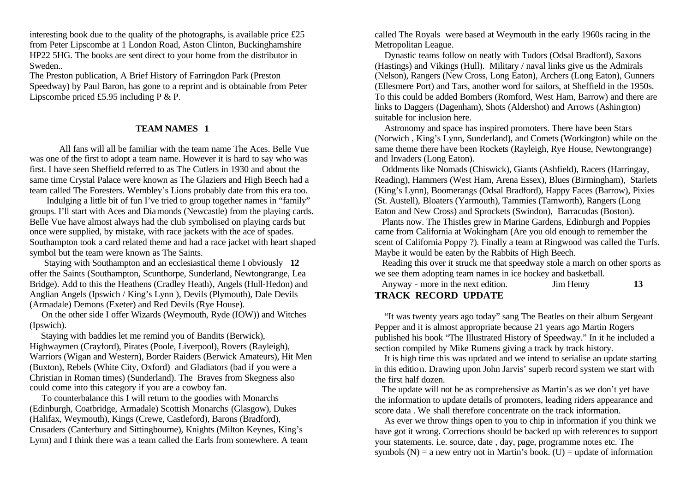interesting book due to the quality of the photographs, is available price £25 from Peter Lipscombe at 1 London Road, Aston Clinton, Buckinghamshire HP22 5HG. The books are sent direct to your home from the distributor in Sweden..

The Preston publication, A Brief History of Farringdon Park (Preston Speedway) by Paul Baron, has gone to a reprint and is obtainable from Peter Lipscombe priced £5.95 including P & P.

#### **TEAM NAMES 1**

All fans will all be familiar with the team name The Aces. Belle Vue was one of the first to adopt a team name. However it is hard to say who was first. I have seen Sheffield referred to as The Cutlers in 1930 and about the same time Crystal Palace were known as The Glaziers and High Beech had a team called The Foresters. Wembley's Lions probably date from this era too.

 Indulging a little bit of fun I've tried to group together names in "family" groups. I'll start with Aces and Diamonds (Newcastle) from the playing cards. Belle Vue have almost always had the club symbolised on playing cards but once were supplied, by mistake, with race jackets with the ace of spades. Southampton took a card related theme and had a race jacket with heart shaped symbol but the team were known as The Saints.

 Staying with Southampton and an ecclesiastical theme I obviously **12** offer the Saints (Southampton, Scunthorpe, Sunderland, Newtongrange, Lea Bridge). Add to this the Heathens (Cradley Heath), Angels (Hull-Hedon) and Anglian Angels (Ipswich / King's Lynn ), Devils (Plymouth), Dale Devils (Armadale) Demons (Exeter) and Red Devils (Rye House).

 On the other side I offer Wizards (Weymouth, Ryde (IOW)) and Witches (Ipswich).

 Staying with baddies let me remind you of Bandits (Berwick), Highwaymen (Crayford), Pirates (Poole, Liverpool), Rovers (Rayleigh), Warriors (Wigan and Western), Border Raiders (Berwick Amateurs), Hit Men (Buxton), Rebels (White City, Oxford) and Gladiators (bad if you were a Christian in Roman times) (Sunderland). The Braves from Skegness also could come into this category if you are a cowboy fan.

 To counterbalance this I will return to the goodies with Monarchs (Edinburgh, Coatbridge, Armadale) Scottish Monarchs (Glasgow), Dukes (Halifax, Weymouth), Kings (Crewe, Castleford), Barons (Bradford), Crusaders (Canterbury and Sittingbourne), Knights (Milton Keynes, King's Lynn) and I think there was a team called the Earls from somewhere. A team called The Royals were based at Weymouth in the early 1960s racing in the Metropolitan League.

 Dynastic teams follow on neatly with Tudors (Odsal Bradford), Saxons (Hastings) and Vikings (Hull). Military / naval links give us the Admirals (Nelson), Rangers (New Cross, Long Eaton), Archers (Long Eaton), Gunners (Ellesmere Port) and Tars, another word for sailors, at Sheffield in the 1950s. To this could be added Bombers (Romford, West Ham, Barrow) and there are links to Daggers (Dagenham), Shots (Aldershot) and Arrows (Ashington) suitable for inclusion here.

 Astronomy and space has inspired promoters. There have been Stars (Norwich , King's Lynn, Sunderland), and Comets (Workington) while on the same theme there have been Rockets (Rayleigh, Rye House, Newtongrange) and Invaders (Long Eaton).

 Oddments like Nomads (Chiswick), Giants (Ashfield), Racers (Harringay, Reading), Hammers (West Ham, Arena Essex), Blues (Birmingham), Starlets (King's Lynn), Boomerangs (Odsal Bradford), Happy Faces (Barrow), Pixies (St. Austell), Bloaters (Yarmouth), Tammies (Tamworth), Rangers (Long Eaton and New Cross) and Sprockets (Swindon), Barracudas (Boston).

 Plants now. The Thistles grew in Marine Gardens, Edinburgh and Poppies came from California at Wokingham (Are you old enough to remember the scent of California Poppy ?). Finally a team at Ringwood was called the Turfs. Maybe it would be eaten by the Rabbits of High Beech.

 Reading this over it struck me that speedway stole a march on other sports as we see them adopting team names in ice hockey and basketball.

| Anyway - more in the next edition. | <b>Jim Henry</b> |  |
|------------------------------------|------------------|--|
| <b>TRACK RECORD UPDATE</b>         |                  |  |

 "It was twenty years ago today" sang The Beatles on their album Sergeant Pepper and it is almost appropriate because 21 years ago Martin Rogers published his book "The Illustrated History of Speedway." In it he included a section compiled by Mike Rumens giving a track by track history.

 It is high time this was updated and we intend to serialise an update starting in this edition. Drawing upon John Jarvis' superb record system we start with the first half dozen.

 The update will not be as comprehensive as Martin's as we don't yet have the information to update details of promoters, leading riders appearance and score data . We shall therefore concentrate on the track information.

 As ever we throw things open to you to chip in information if you think we have got it wrong. Corrections should be backed up with references to support your statements. i.e. source, date , day, page, programme notes etc. The symbols  $(N)$  = a new entry not in Martin's book.  $(U)$  = update of information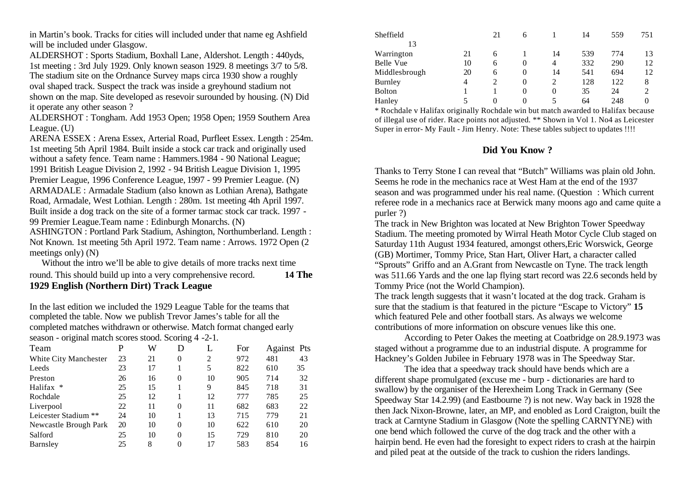in Martin's book. Tracks for cities will included under that name eg Ashfield will be included under Glasgow.

ALDERSHOT : Sports Stadium, Boxhall Lane, Aldershot. Length : 440yds, 1st meeting : 3rd July 1929. Only known season 1929. 8 meetings 3/7 to 5/8. The stadium site on the Ordnance Survey maps circa 1930 show a roughly oval shaped track. Suspect the track was inside a greyhound stadium not shown on the map. Site developed as resevoir surounded by housing. (N) Did it operate any other season ?

ALDERSHOT : Tongham. Add 1953 Open; 1958 Open; 1959 Southern Area League. (U)

ARENA ESSEX : Arena Essex, Arterial Road, Purfleet Essex. Length : 254m. 1st meeting 5th April 1984. Built inside a stock car track and originally used without a safety fence. Team name : Hammers.1984 - 90 National League; 1991 British League Division 2, 1992 - 94 British League Division 1, 1995 Premier League, 1996 Conference League, 1997 - 99 Premier League. (N) ARMADALE : Armadale Stadium (also known as Lothian Arena), Bathgate Road, Armadale, West Lothian. Length : 280m. 1st meeting 4th April 1997. Built inside a dog track on the site of a former tarmac stock car track. 1997 - 99 Premier League.Team name : Edinburgh Monarchs. (N)

ASHINGTON : Portland Park Stadium, Ashington, Northumberland. Length : Not Known. 1st meeting 5th April 1972. Team name : Arrows. 1972 Open (2 meetings only) (N)

 Without the intro we'll be able to give details of more tracks next time round. This should build up into a very comprehensive record. **14 The 1929 English (Northern Dirt) Track League**

In the last edition we included the 1929 League Table for the teams that completed the table. Now we publish Trevor James's table for all the completed matches withdrawn or otherwise. Match format changed early season - original match scores stood. Scoring 4 -2-1.

| Team                  | P  | W  | D        | L  | For |     | Against Pts |
|-----------------------|----|----|----------|----|-----|-----|-------------|
| White City Manchester | 23 | 21 | 0        | 2  | 972 | 481 | 43          |
| Leeds                 | 23 | 17 |          |    | 822 | 610 | 35          |
| Preston               | 26 | 16 | 0        | 10 | 905 | 714 | 32          |
| Halifax *             | 25 | 15 |          | 9  | 845 | 718 | 31          |
| Rochdale              | 25 | 12 |          | 12 | 777 | 785 | 25          |
| Liverpool             | 22 | 11 | 0        | 11 | 682 | 683 | 22          |
| Leicester Stadium **  | 24 | 10 |          | 13 | 715 | 779 | 21          |
| Newcastle Brough Park | 20 | 10 | 0        | 10 | 622 | 610 | 20          |
| Salford               | 25 | 10 | $\Omega$ | 15 | 729 | 810 | 20          |
| Barnsley              | 25 | 8  | 0        | 17 | 583 | 854 | 16          |

| Sheffield      |    | 21             | O |    | 14  | 559 | 751            |
|----------------|----|----------------|---|----|-----|-----|----------------|
| 13             |    |                |   |    |     |     |                |
| Warrington     | 21 | 6              |   | 14 | 539 | 774 | 13             |
| Belle Vue      | 10 | 6              | 0 | 4  | 332 | 290 | 12             |
| Middlesbrough  | 20 | 6              | 0 | 14 | 541 | 694 | 12             |
| <b>Burnley</b> | 4  | $\overline{c}$ | 0 |    | 128 | 122 | 8              |
| <b>Bolton</b>  |    |                | 0 | 0  | 35  | 24  | $\overline{c}$ |
| Hanley         | 5  | 0              | 0 | 5  | 64  | 248 | 0              |

\* Rochdale v Halifax originally Rochdale win but match awarded to Halifax because of illegal use of rider. Race points not adjusted. \*\* Shown in Vol 1. No4 as Leicester Super in error- My Fault - Jim Henry. Note: These tables subject to updates !!!!

# **Did You Know ?**

Thanks to Terry Stone I can reveal that "Butch" Williams was plain old John. Seems he rode in the mechanics race at West Ham at the end of the 1937 season and was programmed under his real name. (Question : Which current referee rode in a mechanics race at Berwick many moons ago and came quite a purler ?)

The track in New Brighton was located at New Brighton Tower Speedway Stadium. The meeting promoted by Wirral Heath Motor Cycle Club staged on Saturday 11th August 1934 featured, amongst others,Eric Worswick, George (GB) Mortimer, Tommy Price, Stan Hart, Oliver Hart, a character called "Sprouts" Griffo and an A.Grant from Newcastle on Tyne. The track length was 511.66 Yards and the one lap flying start record was 22.6 seconds held by Tommy Price (not the World Champion).

The track length suggests that it wasn't located at the dog track. Graham is sure that the stadium is that featured in the picture "Escape to Victory" **15**  which featured Pele and other football stars. As always we welcome contributions of more information on obscure venues like this one.

According to Peter Oakes the meeting at Coatbridge on 28.9.1973 was staged without a programme due to an industrial dispute. A programme for Hackney's Golden Jubilee in February 1978 was in The Speedway Star.

The idea that a speedway track should have bends which are a different shape promulgated (excuse me - burp - dictionaries are hard to swallow) by the organiser of the Herexheim Long Track in Germany (See Speedway Star 14.2.99) (and Eastbourne ?) is not new. Way back in 1928 the then Jack Nixon-Browne, later, an MP, and enobled as Lord Craigton, built the track at Carntyne Stadium in Glasgow (Note the spelling CARNTYNE) with one bend which followed the curve of the dog track and the other with a hairpin bend. He even had the foresight to expect riders to crash at the hairpin and piled peat at the outside of the track to cushion the riders landings.